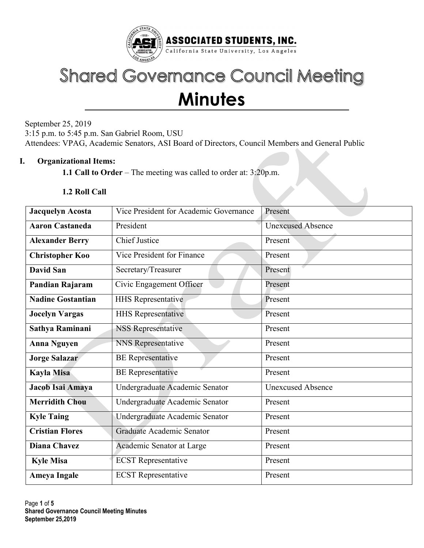

# **Shared Governance Council Meeting Minutes**

September 25, 2019 3:15 p.m. to 5:45 p.m. San Gabriel Room, USU Attendees: VPAG, Academic Senators, ASI Board of Directors, Council Members and General Public

## I. Organizational Items:

1.1 Call to Order – The meeting was called to order at: 3:20p.m.

#### 1.2 Roll Call

| <b>Jacquelyn Acosta</b>  | Vice President for Academic Governance | Present                  |  |  |
|--------------------------|----------------------------------------|--------------------------|--|--|
| <b>Aaron Castaneda</b>   | President                              | <b>Unexcused Absence</b> |  |  |
| <b>Alexander Berry</b>   | <b>Chief Justice</b>                   | Present                  |  |  |
| <b>Christopher Koo</b>   | Vice President for Finance             | Present                  |  |  |
| <b>David San</b>         | Secretary/Treasurer                    | Present                  |  |  |
| Pandian Rajaram          | Civic Engagement Officer               | Present                  |  |  |
| <b>Nadine Gostantian</b> | <b>HHS Representative</b>              | Present                  |  |  |
| <b>Jocelyn Vargas</b>    | <b>HHS</b> Representative              | Present                  |  |  |
| Sathya Raminani          | <b>NSS Representative</b>              | Present                  |  |  |
| <b>Anna Nguyen</b>       | NNS Representative                     | Present                  |  |  |
| <b>Jorge Salazar</b>     | <b>BE</b> Representative               | Present                  |  |  |
| Kayla Misa               | <b>BE</b> Representative               | Present                  |  |  |
| Jacob Isai Amaya         | Undergraduate Academic Senator         | <b>Unexcused Absence</b> |  |  |
| <b>Merridith Chou</b>    | Undergraduate Academic Senator         | Present                  |  |  |
| <b>Kyle Taing</b>        | Undergraduate Academic Senator         | Present                  |  |  |
| <b>Cristian Flores</b>   | Graduate Academic Senator              | Present                  |  |  |
| <b>Diana Chavez</b>      | Academic Senator at Large              | Present                  |  |  |
| <b>Kyle Misa</b>         | <b>ECST</b> Representative             | Present                  |  |  |
| <b>Ameya Ingale</b>      | <b>ECST</b> Representative             | Present                  |  |  |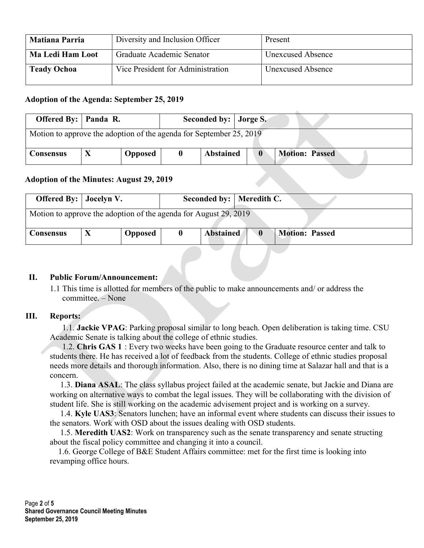| <b>Matiana Parria</b>   | Diversity and Inclusion Officer   | Present                  |
|-------------------------|-----------------------------------|--------------------------|
| <b>Ma Ledi Ham Loot</b> | Graduate Academic Senator         | <b>Unexcused Absence</b> |
| <b>Teady Ochoa</b>      | Vice President for Administration | <b>Unexcused Absence</b> |

## Adoption of the Agenda: September 25, 2019

| <b>Offered By:</b> $\vert$ <b>Panda R.</b>                          |  |                | Seconded by: Jorge S. |                  |  |                       |  |
|---------------------------------------------------------------------|--|----------------|-----------------------|------------------|--|-----------------------|--|
| Motion to approve the adoption of the agenda for September 25, 2019 |  |                |                       |                  |  |                       |  |
| <b>Consensus</b>                                                    |  | <b>Opposed</b> | U                     | <b>Abstained</b> |  | <b>Motion: Passed</b> |  |

#### Adoption of the Minutes: August 29, 2019

| <b>Offered By:</b> Jocelyn V.                                    |                | Seconded by:   Meredith C. |                       |
|------------------------------------------------------------------|----------------|----------------------------|-----------------------|
| Motion to approve the adoption of the agenda for August 29, 2019 |                |                            |                       |
| <b>Consensus</b>                                                 | <b>Opposed</b> | <b>Abstained</b>           | <b>Motion: Passed</b> |

#### II. Public Forum/Announcement:

1.1 This time is allotted for members of the public to make announcements and/ or address the committee. – None

#### III. Reports:

 1.1. Jackie VPAG: Parking proposal similar to long beach. Open deliberation is taking time. CSU Academic Senate is talking about the college of ethnic studies.

 1.2. Chris GAS 1 : Every two weeks have been going to the Graduate resource center and talk to students there. He has received a lot of feedback from the students. College of ethnic studies proposal needs more details and thorough information. Also, there is no dining time at Salazar hall and that is a concern.

 1.3. Diana ASAL: The class syllabus project failed at the academic senate, but Jackie and Diana are working on alternative ways to combat the legal issues. They will be collaborating with the division of student life. She is still working on the academic advisement project and is working on a survey.

 1.4. Kyle UAS3: Senators lunchen; have an informal event where students can discuss their issues to the senators. Work with OSD about the issues dealing with OSD students.

 1.5. Meredith UAS2: Work on transparency such as the senate transparency and senate structing about the fiscal policy committee and changing it into a council.

 1.6. George College of B&E Student Affairs committee: met for the first time is looking into revamping office hours.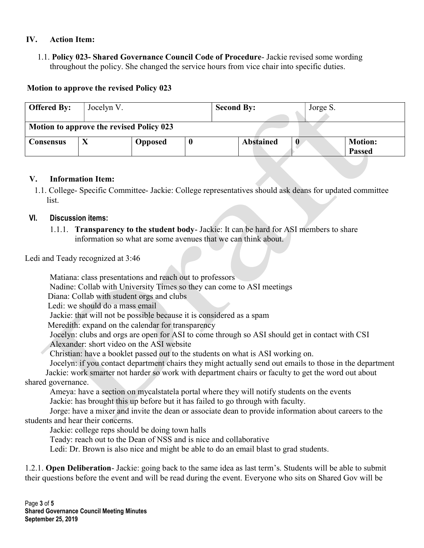## IV. Action Item:

1.1. Policy 023- Shared Governance Council Code of Procedure- Jackie revised some wording throughout the policy. She changed the service hours from vice chair into specific duties.

## Motion to approve the revised Policy 023

| <b>Offered By:</b> | Jocelyn V.                               |         |  | Jorge S.<br><b>Second By:</b> |  |                                 |  |
|--------------------|------------------------------------------|---------|--|-------------------------------|--|---------------------------------|--|
|                    | Motion to approve the revised Policy 023 |         |  |                               |  |                                 |  |
| Consensus          |                                          | Opposed |  | <b>Abstained</b>              |  | <b>Motion:</b><br><b>Passed</b> |  |

#### V. Information Item:

1.1. College- Specific Committee- Jackie: College representatives should ask deans for updated committee list.

## VI. Discussion items:

1.1.1. **Transparency to the student body-** Jackie: It can be hard for ASI members to share information so what are some avenues that we can think about.

Ledi and Teady recognized at 3:46

Matiana: class presentations and reach out to professors

Nadine: Collab with University Times so they can come to ASI meetings

Diana: Collab with student orgs and clubs

Ledi: we should do a mass email

Jackie: that will not be possible because it is considered as a spam

Meredith: expand on the calendar for transparency

Jocelyn: clubs and orgs are open for ASI to come through so ASI should get in contact with CSI

Alexander: short video on the ASI website

Christian: have a booklet passed out to the students on what is ASI working on.

 Jocelyn: if you contact department chairs they might actually send out emails to those in the department Jackie: work smarter not harder so work with department chairs or faculty to get the word out about shared governance.

 Ameya: have a section on mycalstatela portal where they will notify students on the events Jackie: has brought this up before but it has failed to go through with faculty.

 Jorge: have a mixer and invite the dean or associate dean to provide information about careers to the students and hear their concerns.

Jackie: college reps should be doing town halls

Teady: reach out to the Dean of NSS and is nice and collaborative

Ledi: Dr. Brown is also nice and might be able to do an email blast to grad students.

1.2.1. Open Deliberation- Jackie: going back to the same idea as last term's. Students will be able to submit their questions before the event and will be read during the event. Everyone who sits on Shared Gov will be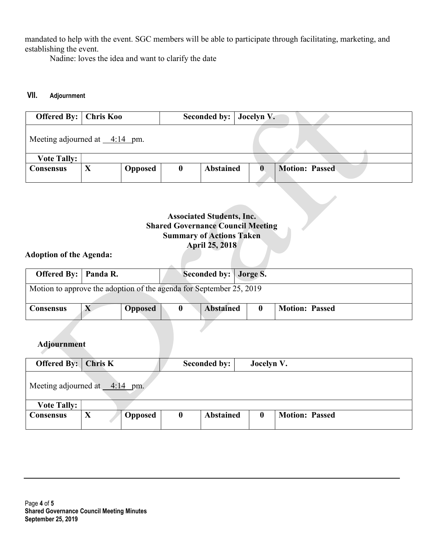mandated to help with the event. SGC members will be able to participate through facilitating, marketing, and establishing the event.

Nadine: loves the idea and want to clarify the date

## VII. Adjournment

| <b>Offered By:</b>                                                                                                                                                         | <b>Chris Koo</b>                                                |                |                  | <b>Seconded by:</b><br>Jocelyn V. |                  |                       |  |  |
|----------------------------------------------------------------------------------------------------------------------------------------------------------------------------|-----------------------------------------------------------------|----------------|------------------|-----------------------------------|------------------|-----------------------|--|--|
| Meeting adjourned at $\_\_4:14$ pm.                                                                                                                                        |                                                                 |                |                  |                                   |                  |                       |  |  |
| <b>Vote Tally:</b>                                                                                                                                                         |                                                                 |                |                  |                                   |                  |                       |  |  |
| Consensus                                                                                                                                                                  | $\mathbf{X}$<br><b>Abstained</b><br>Opposed<br>$\boldsymbol{0}$ |                |                  |                                   | $\mathbf{0}$     | <b>Motion: Passed</b> |  |  |
| <b>Associated Students, Inc.</b><br><b>Shared Governance Council Meeting</b><br><b>Summary of Actions Taken</b><br><b>April 25, 2018</b><br><b>Adoption of the Agenda:</b> |                                                                 |                |                  |                                   |                  |                       |  |  |
| <b>Offered By:</b>                                                                                                                                                         | Panda R.                                                        |                |                  | Seconded by: Jorge S.             |                  |                       |  |  |
| Motion to approve the adoption of the agenda for September 25, 2019                                                                                                        |                                                                 |                |                  |                                   |                  |                       |  |  |
| <b>Consensus</b>                                                                                                                                                           | $\mathbf{X}$                                                    | <b>Opposed</b> | $\boldsymbol{0}$ | <b>Abstained</b>                  | $\bf{0}$         | <b>Motion: Passed</b> |  |  |
| <b>Adjournment</b>                                                                                                                                                         |                                                                 |                |                  |                                   |                  |                       |  |  |
| Offered By:                                                                                                                                                                | Chris K                                                         |                |                  | <b>Seconded by:</b>               | Jocelyn V.       |                       |  |  |
| Meeting adjourned at $\_\_4:14$ pm.                                                                                                                                        |                                                                 |                |                  |                                   |                  |                       |  |  |
| <b>Vote Tally:</b>                                                                                                                                                         |                                                                 |                |                  |                                   |                  |                       |  |  |
| <b>Consensus</b>                                                                                                                                                           | $\mathbf{X}$                                                    | <b>Opposed</b> | $\boldsymbol{0}$ | <b>Abstained</b>                  | $\boldsymbol{0}$ | <b>Motion: Passed</b> |  |  |